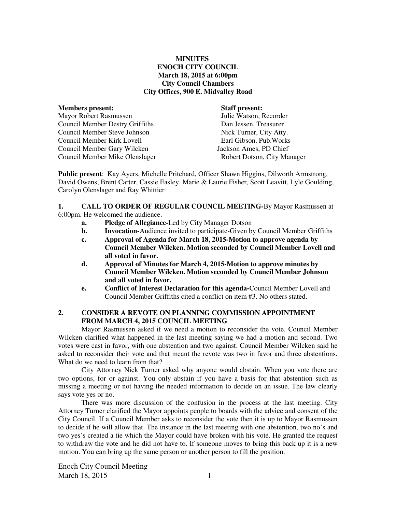## **MINUTES ENOCH CITY COUNCIL March 18, 2015 at 6:00pm City Council Chambers City Offices, 900 E. Midvalley Road**

| <b>Members present:</b>                | <b>Staff present:</b>       |
|----------------------------------------|-----------------------------|
| <b>Mayor Robert Rasmussen</b>          | Julie Watson, Recorder      |
| <b>Council Member Destry Griffiths</b> | Dan Jessen, Treasurer       |
| Council Member Steve Johnson           | Nick Turner, City Atty.     |
| Council Member Kirk Lovell             | Earl Gibson, Pub. Works     |
| Council Member Gary Wilcken            | Jackson Ames, PD Chief      |
| Council Member Mike Olenslager         | Robert Dotson, City Manager |

**Public present**: Kay Ayers, Michelle Pritchard, Officer Shawn Higgins, Dilworth Armstrong, David Owens, Brent Carter, Cassie Easley, Marie & Laurie Fisher, Scott Leavitt, Lyle Goulding, Carolyn Olenslager and Ray Whittier

**1. CALL TO ORDER OF REGULAR COUNCIL MEETING-**By Mayor Rasmussen at 6:00pm. He welcomed the audience.

- **a. Pledge of Allegiance-**Led by City Manager Dotson
- **b.** Invocation-Audience invited to participate-Given by Council Member Griffiths
- **c. Approval of Agenda for March 18, 2015-Motion to approve agenda by Council Member Wilcken. Motion seconded by Council Member Lovell and all voted in favor.**
- **d. Approval of Minutes for March 4, 2015-Motion to approve minutes by Council Member Wilcken. Motion seconded by Council Member Johnson and all voted in favor.**
- **e. Conflict of Interest Declaration for this agenda-**Council Member Lovell and Council Member Griffiths cited a conflict on item #3. No others stated.

## **2. CONSIDER A REVOTE ON PLANNING COMMISSION APPOINTMENT FROM MARCH 4, 2015 COUNCIL MEETING**

Mayor Rasmussen asked if we need a motion to reconsider the vote. Council Member Wilcken clarified what happened in the last meeting saying we had a motion and second. Two votes were cast in favor, with one abstention and two against. Council Member Wilcken said he asked to reconsider their vote and that meant the revote was two in favor and three abstentions. What do we need to learn from that?

City Attorney Nick Turner asked why anyone would abstain. When you vote there are two options, for or against. You only abstain if you have a basis for that abstention such as missing a meeting or not having the needed information to decide on an issue. The law clearly says vote yes or no.

There was more discussion of the confusion in the process at the last meeting. City Attorney Turner clarified the Mayor appoints people to boards with the advice and consent of the City Council. If a Council Member asks to reconsider the vote then it is up to Mayor Rasmussen to decide if he will allow that. The instance in the last meeting with one abstention, two no's and two yes's created a tie which the Mayor could have broken with his vote. He granted the request to withdraw the vote and he did not have to. If someone moves to bring this back up it is a new motion. You can bring up the same person or another person to fill the position.

Enoch City Council Meeting March 18, 2015 1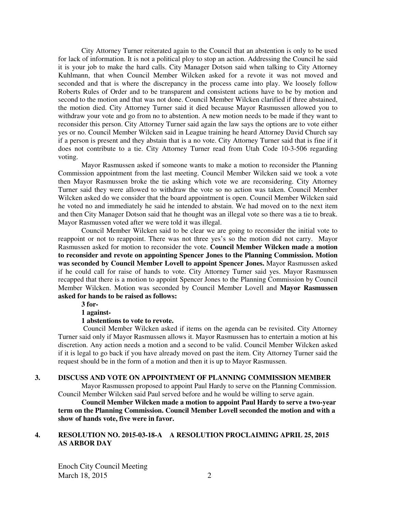City Attorney Turner reiterated again to the Council that an abstention is only to be used for lack of information. It is not a political ploy to stop an action. Addressing the Council he said it is your job to make the hard calls. City Manager Dotson said when talking to City Attorney Kuhlmann, that when Council Member Wilcken asked for a revote it was not moved and seconded and that is where the discrepancy in the process came into play. We loosely follow Roberts Rules of Order and to be transparent and consistent actions have to be by motion and second to the motion and that was not done. Council Member Wilcken clarified if three abstained, the motion died. City Attorney Turner said it died because Mayor Rasmussen allowed you to withdraw your vote and go from no to abstention. A new motion needs to be made if they want to reconsider this person. City Attorney Turner said again the law says the options are to vote either yes or no. Council Member Wilcken said in League training he heard Attorney David Church say if a person is present and they abstain that is a no vote. City Attorney Turner said that is fine if it does not contribute to a tie. City Attorney Turner read from Utah Code 10-3-506 regarding voting.

Mayor Rasmussen asked if someone wants to make a motion to reconsider the Planning Commission appointment from the last meeting. Council Member Wilcken said we took a vote then Mayor Rasmussen broke the tie asking which vote we are reconsidering. City Attorney Turner said they were allowed to withdraw the vote so no action was taken. Council Member Wilcken asked do we consider that the board appointment is open. Council Member Wilcken said he voted no and immediately he said he intended to abstain. We had moved on to the next item and then City Manager Dotson said that he thought was an illegal vote so there was a tie to break. Mayor Rasmussen voted after we were told it was illegal.

Council Member Wilcken said to be clear we are going to reconsider the initial vote to reappoint or not to reappoint. There was not three yes's so the motion did not carry. Mayor Rasmussen asked for motion to reconsider the vote. **Council Member Wilcken made a motion to reconsider and revote on appointing Spencer Jones to the Planning Commission. Motion was seconded by Council Member Lovell to appoint Spencer Jones.** Mayor Rasmussen asked if he could call for raise of hands to vote. City Attorney Turner said yes. Mayor Rasmussen recapped that there is a motion to appoint Spencer Jones to the Planning Commission by Council Member Wilcken. Motion was seconded by Council Member Lovell and **Mayor Rasmussen asked for hands to be raised as follows:** 

**3 for-**

**1 against-**

#### **1 abstentions to vote to revote.**

Council Member Wilcken asked if items on the agenda can be revisited. City Attorney Turner said only if Mayor Rasmussen allows it. Mayor Rasmussen has to entertain a motion at his discretion. Any action needs a motion and a second to be valid. Council Member Wilcken asked if it is legal to go back if you have already moved on past the item. City Attorney Turner said the request should be in the form of a motion and then it is up to Mayor Rasmussen.

#### **3. DISCUSS AND VOTE ON APPOINTMENT OF PLANNING COMMISSION MEMBER**

Mayor Rasmussen proposed to appoint Paul Hardy to serve on the Planning Commission. Council Member Wilcken said Paul served before and he would be willing to serve again.

**Council Member Wilcken made a motion to appoint Paul Hardy to serve a two-year term on the Planning Commission. Council Member Lovell seconded the motion and with a show of hands vote, five were in favor.** 

## **4. RESOLUTION NO. 2015-03-18-A A RESOLUTION PROCLAIMING APRIL 25, 2015 AS ARBOR DAY**

Enoch City Council Meeting March 18, 2015 2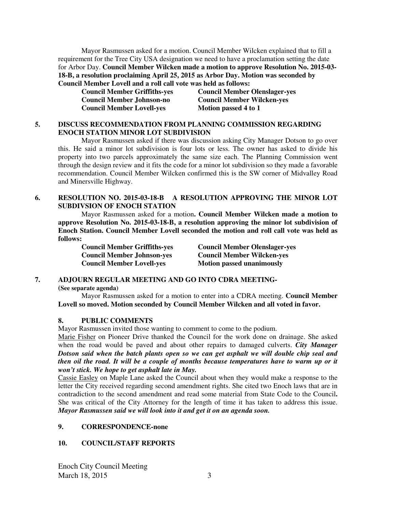Mayor Rasmussen asked for a motion. Council Member Wilcken explained that to fill a requirement for the Tree City USA designation we need to have a proclamation setting the date for Arbor Day. **Council Member Wilcken made a motion to approve Resolution No. 2015-03- 18-B, a resolution proclaiming April 25, 2015 as Arbor Day. Motion was seconded by Council Member Lovell and a roll call vote was held as follows:** 

**Council Member Lovell-yes Motion passed 4 to 1** 

**Council Member Griffiths-yes Council Member Olenslager-yes Council Member Johnson-no Council Member Wilcken-yes** 

## **5. DISCUSS RECOMMENDATION FROM PLANNING COMMISSION REGARDING ENOCH STATION MINOR LOT SUBDIVISION**

Mayor Rasmussen asked if there was discussion asking City Manager Dotson to go over this. He said a minor lot subdivision is four lots or less. The owner has asked to divide his property into two parcels approximately the same size each. The Planning Commission went through the design review and it fits the code for a minor lot subdivision so they made a favorable recommendation. Council Member Wilcken confirmed this is the SW corner of Midvalley Road and Minersville Highway.

## **6. RESOLUTION NO. 2015-03-18-B A RESOLUTION APPROVING THE MINOR LOT SUBDIVSION OF ENOCH STATION**

Mayor Rasmussen asked for a motion**. Council Member Wilcken made a motion to approve Resolution No. 2015-03-18-B, a resolution approving the minor lot subdivision of Enoch Station. Council Member Lovell seconded the motion and roll call vote was held as follows:** 

**Council Member Lovell-yes** Motion passed unanimously

**Council Member Griffiths-yes Council Member Olenslager-yes Council Member Johnson-yes Council Member Wilcken-yes** 

# **7. ADJOURN REGULAR MEETING AND GO INTO CDRA MEETING-**

**(See separate agenda)** 

Mayor Rasmussen asked for a motion to enter into a CDRA meeting. **Council Member Lovell so moved. Motion seconded by Council Member Wilcken and all voted in favor.** 

# **8. PUBLIC COMMENTS**

Mayor Rasmussen invited those wanting to comment to come to the podium.

Marie Fisher on Pioneer Drive thanked the Council for the work done on drainage. She asked when the road would be paved and about other repairs to damaged culverts. *City Manager Dotson said when the batch plants open so we can get asphalt we will double chip seal and then oil the road. It will be a couple of months because temperatures have to warm up or it won't stick. We hope to get asphalt late in May.* 

Cassie Easley on Maple Lane asked the Council about when they would make a response to the letter the City received regarding second amendment rights. She cited two Enoch laws that are in contradiction to the second amendment and read some material from State Code to the Council**.**  She was critical of the City Attorney for the length of time it has taken to address this issue. *Mayor Rasmussen said we will look into it and get it on an agenda soon.* 

# **9. CORRESPONDENCE-none**

# **10. COUNCIL/STAFF REPORTS**

Enoch City Council Meeting March 18, 2015 3